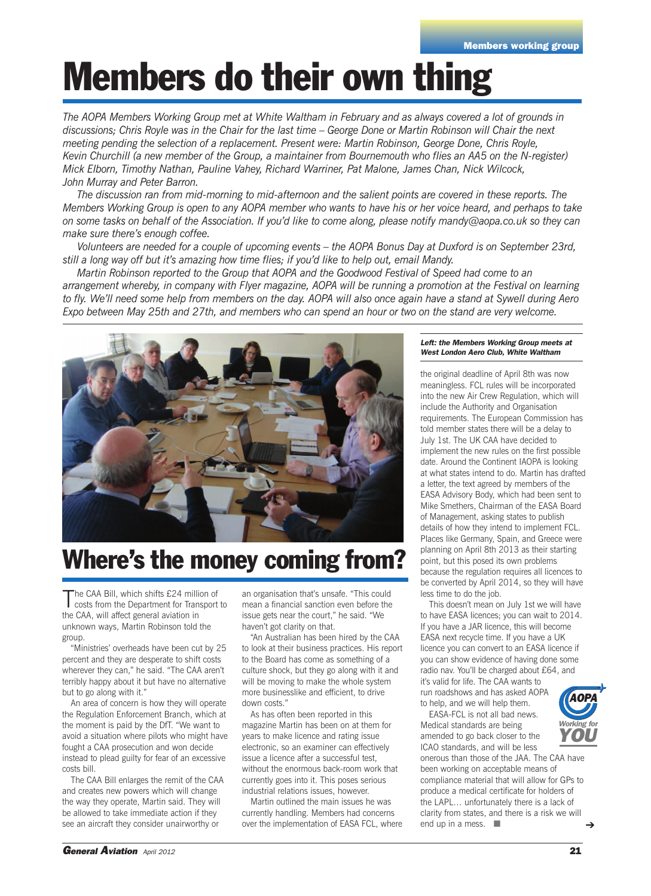# **Members do their own thing**

The AOPA Members Working Group met at White Waltham in February and as always covered a lot of grounds in discussions; Chris Royle was in the Chair for the last time - George Done or Martin Robinson will Chair the next *meeting pending the selection of a replacement. Present were: Martin Robinson, George Done, Chris Royle,* Kevin Churchill (a new member of the Group, a maintainer from Bournemouth who flies an AA5 on the N-register) *Mick Elborn, Timothy Nathan, Pauline Vahey, Richard Warriner, Pat Malone, James Chan, Nick Wilcock, John Murray and Peter Barron.*

The discussion ran from mid-morning to mid-afternoon and the salient points are covered in these reports. The Members Working Group is open to any AOPA member who wants to have his or her voice heard, and perhaps to take on some tasks on behalf of the Association. If you'd like to come along, please notify mandy@aopa.co.uk so they can *make sure there's enough coffee.*

Volunteers are needed for a couple of upcoming events – the AOPA Bonus Day at Duxford is on September 23rd, still a long way off but it's amazing how time flies; if you'd like to help out, email Mandy.

*Martin Robinson reported to the Group that AOPA and the Goodwood Festival of Speed had come to an* arrangement whereby, in company with Flyer magazine, AOPA will be running a promotion at the Festival on learning to fly. We'll need some help from members on the day. AOPA will also once again have a stand at Sywell during Aero Expo between May 25th and 27th, and members who can spend an hour or two on the stand are very welcome.



#### **Where's the money coming from?**

The CAA Bill, which shifts £24 million of<br>costs from the Department for Transport to the CAA, will affect general aviation in unknown ways, Martin Robinson told the group.

"Ministries' overheads have been cut by 25 percent and they are desperate to shift costs wherever they can," he said. "The CAA aren't terribly happy about it but have no alternative but to go along with it."

An area of concern is how they will operate the Regulation Enforcement Branch, which at the moment is paid by the DfT. "We want to avoid a situation where pilots who might have fought a CAA prosecution and won decide instead to plead guilty for fear of an excessive costs bill.

The CAA Bill enlarges the remit of the CAA and creates new powers which will change the way they operate, Martin said. They will be allowed to take immediate action if they see an aircraft they consider unairworthy or

an organisation that's unsafe. "This could mean a financial sanction even before the issue gets near the court," he said. "We haven't got clarity on that.

"An Australian has been hired by the CAA to look at their business practices. His report to the Board has come as something of a culture shock, but they go along with it and will be moving to make the whole system more businesslike and efficient, to drive down costs."

As has often been reported in this magazine Martin has been on at them for years to make licence and rating issue electronic, so an examiner can effectively issue a licence after a successful test, without the enormous back-room work that currently goes into it. This poses serious industrial relations issues, however.

Martin outlined the main issues he was currently handling. Members had concerns over the implementation of EASA FCL, where

#### *Left: the Members Working Group meets at West London Aero Club, White Waltham*

the original deadline of April 8th was now meaningless. FCL rules will be incorporated into the new Air Crew Regulation, which will include the Authority and Organisation requirements. The European Commission has told member states there will be a delay to July 1st. The UK CAA have decided to implement the new rules on the first possible date. Around the Continent IAOPA is looking at what states intend to do. Martin has drafted a letter, the text agreed by members of the EASA Advisory Body, which had been sent to Mike Smethers, Chairman of the EASA Board of Management, asking states to publish details of how they intend to implement FCL. Places like Germany, Spain, and Greece were planning on April 8th 2013 as their starting point, but this posed its own problems because the regulation requires all licences to be converted by April 2014, so they will have less time to do the job.

This doesn't mean on July 1st we will have to have EASA licences; you can wait to 2014. If you have a JAR licence, this will become EASA next recycle time. If you have a UK licence you can convert to an EASA licence if you can show evidence of having done some radio nav. You'll be charged about £64, and it's valid for life. The CAA wants to

run roadshows and has asked AOPA to help, and we will help them. EASA-FCL is not all bad news. Medical standards are being amended to go back closer to the

ICAO standards, and will be less



onerous than those of the JAA. The CAA have been working on acceptable means of compliance material that will allow for GPs to produce a medical certificate for holders of the LAPL… unfortunately there is a lack of clarity from states, and there is a risk we will end up in a mess.  $\Box$ ➔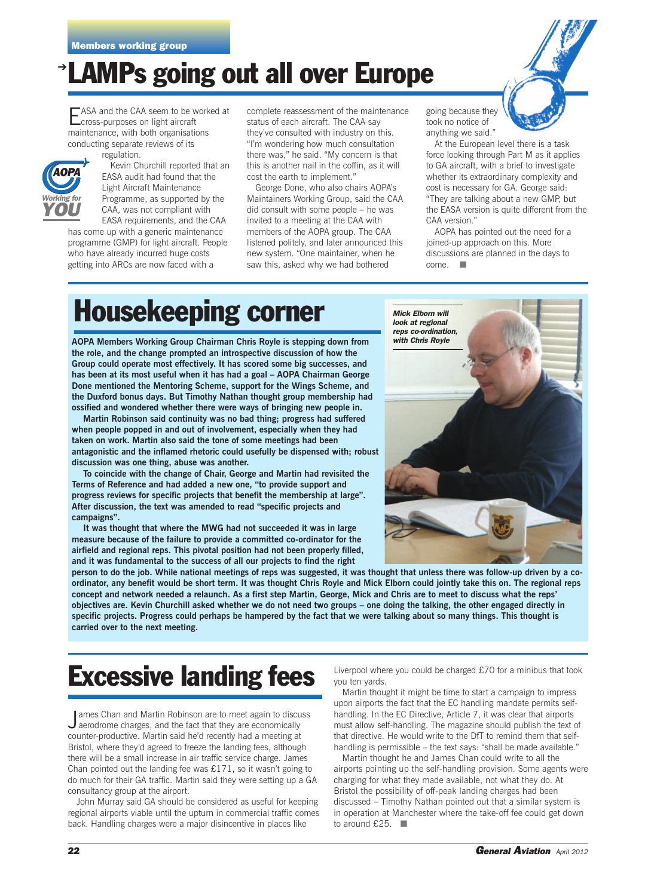#### ➔ **LAMPs going out all over Europe**

EASA and the CAA seem to be worked at<br>
cross-purposes on light aircraft maintenance, with both organisations conducting separate reviews of its regulation.



Kevin Churchill reported that an EASA audit had found that the Light Aircraft Maintenance Programme, as supported by the CAA, was not compliant with

EASA requirements, and the CAA has come up with a generic maintenance programme (GMP) for light aircraft. People who have already incurred huge costs getting into ARCs are now faced with a

complete reassessment of the maintenance status of each aircraft. The CAA say they've consulted with industry on this. "I'm wondering how much consultation there was," he said. "My concern is that this is another nail in the coffin, as it will cost the earth to implement."

George Done, who also chairs AOPA's Maintainers Working Group, said the CAA did consult with some people – he was invited to a meeting at the CAA with members of the AOPA group. The CAA listened politely, and later announced this new system. "One maintainer, when he saw this, asked why we had bothered

going because they took no notice of anything we said."



At the European level there is a task force looking through Part M as it applies to GA aircraft, with a brief to investigate whether its extraordinary complexity and cost is necessary for GA. George said: "They are talking about a new GMP, but the EASA version is quite different from the CAA version."

AOPA has pointed out the need for a joined-up approach on this. More discussions are planned in the days to come. ■

### **Housekeeping corner**

**AOPA Members Working Group Chairman Chris Royle is stepping down from the role, and the change prompted an introspective discussion of how the Group could operate most effectively. It has scored some big successes, and has been at its most useful when it has had a goal – AOPA Chairman George Done mentioned the Mentoring Scheme, support for the Wings Scheme, and the Duxford bonus days. But Timothy Nathan thought group membership had ossified and wondered whether there were ways of bringing new people in.**

**Martin Robinson said continuity was no bad thing; progress had suffered when people popped in and out of involvement, especially when they had taken on work. Martin also said the tone of some meetings had been antagonistic and the inflamed rhetoric could usefully be dispensed with; robust discussion was one thing, abuse was another.**

**To coincide with the change of Chair, George and Martin had revisited the Terms of Reference and had added a new one, "to provide support and progress reviews for specific projects that benefit the membership at large". After discussion, the text was amended to read "specific projects and campaigns".**

**It was thought that where the MWG had not succeeded it was in large measure because of the failure to provide a committed co-ordinator for the airfield and regional reps. This pivotal position had not been properly filled, and it was fundamental to the success of all our projects to find the right**



person to do the job. While national meetings of reps was suggested, it was thought that unless there was follow-up driven by a coordinator, any benefit would be short term. It was thought Chris Royle and Mick Elborn could jointly take this on. The regional reps concept and network needed a relaunch. As a first step Martin, George, Mick and Chris are to meet to discuss what the reps' objectives are. Kevin Churchill asked whether we do not need two groups - one doing the talking, the other engaged directly in specific projects. Progress could perhaps be hampered by the fact that we were talking about so many things. This thought is **carried over to the next meeting.**

### **Excessive landing fees**

James Chan and Martin Robinson are to meet again to disculate are conomically ames Chan and Martin Robinson are to meet again to discuss counter-productive. Martin said he'd recently had a meeting at Bristol, where they'd agreed to freeze the landing fees, although there will be a small increase in air traffic service charge. James Chan pointed out the landing fee was £171, so it wasn't going to do much for their GA traffic. Martin said they were setting up a GA consultancy group at the airport.

John Murray said GA should be considered as useful for keeping regional airports viable until the upturn in commercial traffic comes back. Handling charges were a major disincentive in places like

Liverpool where you could be charged £70 for a minibus that took you ten yards.

Martin thought it might be time to start a campaign to impress upon airports the fact that the EC handling mandate permits selfhandling. In the EC Directive, Article 7, it was clear that airports must allow self-handling. The magazine should publish the text of that directive. He would write to the DfT to remind them that selfhandling is permissible – the text says: "shall be made available."

Martin thought he and James Chan could write to all the airports pointing up the self-handling provision. Some agents were charging for what they made available, not what they do. At Bristol the possibility of off-peak landing charges had been discussed – Timothy Nathan pointed out that a similar system is in operation at Manchester where the take-off fee could get down to around £25. ■